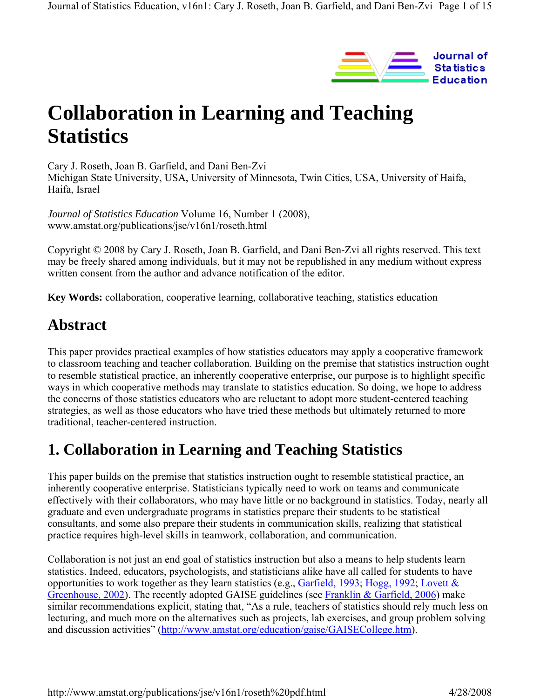

# **Collaboration in Learning and Teaching Statistics**

Cary J. Roseth, Joan B. Garfield, and Dani Ben-Zvi Michigan State University, USA, University of Minnesota, Twin Cities, USA, University of Haifa, Haifa, Israel

*Journal of Statistics Education* Volume 16, Number 1 (2008), www.amstat.org/publications/jse/v16n1/roseth.html

Copyright © 2008 by Cary J. Roseth, Joan B. Garfield, and Dani Ben-Zvi all rights reserved. This text may be freely shared among individuals, but it may not be republished in any medium without express written consent from the author and advance notification of the editor.

**Key Words:** collaboration, cooperative learning, collaborative teaching, statistics education

### **Abstract**

This paper provides practical examples of how statistics educators may apply a cooperative framework to classroom teaching and teacher collaboration. Building on the premise that statistics instruction ought to resemble statistical practice, an inherently cooperative enterprise, our purpose is to highlight specific ways in which cooperative methods may translate to statistics education. So doing, we hope to address the concerns of those statistics educators who are reluctant to adopt more student-centered teaching strategies, as well as those educators who have tried these methods but ultimately returned to more traditional, teacher-centered instruction.

# **1. Collaboration in Learning and Teaching Statistics**

This paper builds on the premise that statistics instruction ought to resemble statistical practice, an inherently cooperative enterprise. Statisticians typically need to work on teams and communicate effectively with their collaborators, who may have little or no background in statistics. Today, nearly all graduate and even undergraduate programs in statistics prepare their students to be statistical consultants, and some also prepare their students in communication skills, realizing that statistical practice requires high-level skills in teamwork, collaboration, and communication.

Collaboration is not just an end goal of statistics instruction but also a means to help students learn statistics. Indeed, educators, psychologists, and statisticians alike have all called for students to have opportunities to work together as they learn statistics (e.g., Garfield, 1993; Hogg, 1992; Lovett  $\&$ Greenhouse, 2002). The recently adopted GAISE guidelines (see Franklin & Garfield, 2006) make similar recommendations explicit, stating that, "As a rule, teachers of statistics should rely much less on lecturing, and much more on the alternatives such as projects, lab exercises, and group problem solving and discussion activities" (http://www.amstat.org/education/gaise/GAISECollege.htm).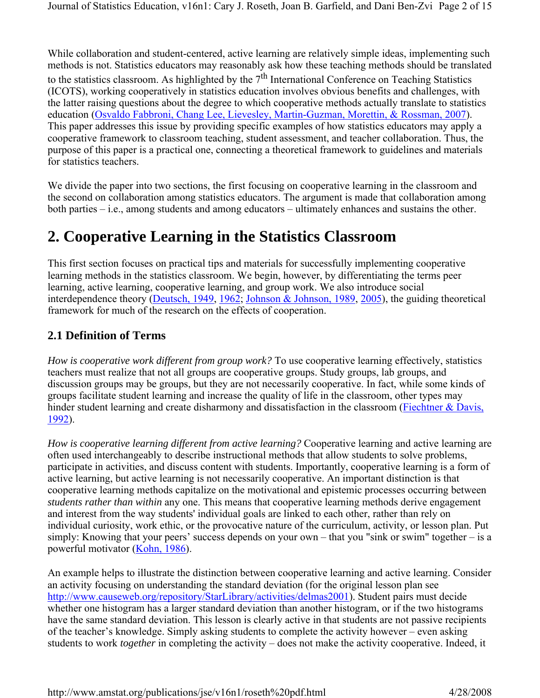While collaboration and student-centered, active learning are relatively simple ideas, implementing such methods is not. Statistics educators may reasonably ask how these teaching methods should be translated to the statistics classroom. As highlighted by the 7<sup>th</sup> International Conference on Teaching Statistics (ICOTS), working cooperatively in statistics education involves obvious benefits and challenges, with the latter raising questions about the degree to which cooperative methods actually translate to statistics education (Osvaldo Fabbroni, Chang Lee, Lievesley, Martin-Guzman, Morettin, & Rossman, 2007). This paper addresses this issue by providing specific examples of how statistics educators may apply a cooperative framework to classroom teaching, student assessment, and teacher collaboration. Thus, the purpose of this paper is a practical one, connecting a theoretical framework to guidelines and materials for statistics teachers.

We divide the paper into two sections, the first focusing on cooperative learning in the classroom and the second on collaboration among statistics educators. The argument is made that collaboration among both parties – i.e., among students and among educators – ultimately enhances and sustains the other.

# **2. Cooperative Learning in the Statistics Classroom**

This first section focuses on practical tips and materials for successfully implementing cooperative learning methods in the statistics classroom. We begin, however, by differentiating the terms peer learning, active learning, cooperative learning, and group work. We also introduce social interdependence theory (Deutsch, 1949, 1962; Johnson & Johnson, 1989, 2005), the guiding theoretical framework for much of the research on the effects of cooperation.

### **2.1 Definition of Terms**

*How is cooperative work different from group work?* To use cooperative learning effectively, statistics teachers must realize that not all groups are cooperative groups. Study groups, lab groups, and discussion groups may be groups, but they are not necessarily cooperative. In fact, while some kinds of groups facilitate student learning and increase the quality of life in the classroom, other types may hinder student learning and create disharmony and dissatisfaction in the classroom (Fiechtner & Davis, 1992).

*How is cooperative learning different from active learning?* Cooperative learning and active learning are often used interchangeably to describe instructional methods that allow students to solve problems, participate in activities, and discuss content with students. Importantly, cooperative learning is a form of active learning, but active learning is not necessarily cooperative. An important distinction is that cooperative learning methods capitalize on the motivational and epistemic processes occurring between *students rather than within* any one. This means that cooperative learning methods derive engagement and interest from the way students' individual goals are linked to each other, rather than rely on individual curiosity, work ethic, or the provocative nature of the curriculum, activity, or lesson plan. Put simply: Knowing that your peers' success depends on your own – that you "sink or swim" together – is a powerful motivator (Kohn, 1986).

An example helps to illustrate the distinction between cooperative learning and active learning. Consider an activity focusing on understanding the standard deviation (for the original lesson plan see http://www.causeweb.org/repository/StarLibrary/activities/delmas2001). Student pairs must decide whether one histogram has a larger standard deviation than another histogram, or if the two histograms have the same standard deviation. This lesson is clearly active in that students are not passive recipients of the teacher's knowledge. Simply asking students to complete the activity however – even asking students to work *together* in completing the activity – does not make the activity cooperative. Indeed, it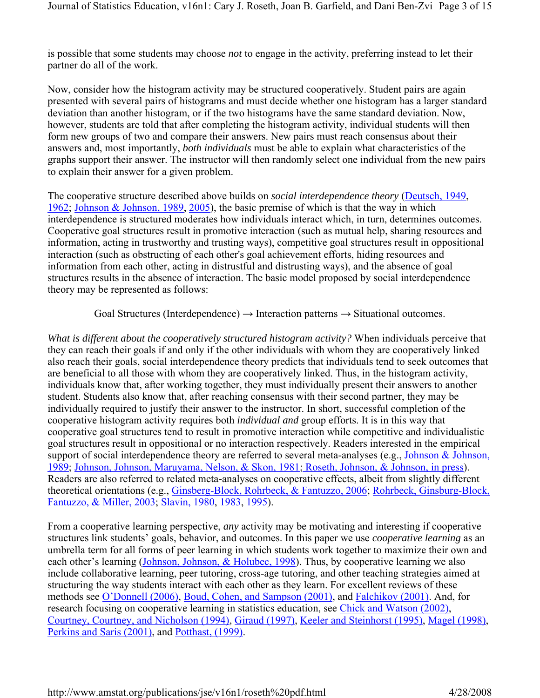is possible that some students may choose *not* to engage in the activity, preferring instead to let their partner do all of the work.

Now, consider how the histogram activity may be structured cooperatively. Student pairs are again presented with several pairs of histograms and must decide whether one histogram has a larger standard deviation than another histogram, or if the two histograms have the same standard deviation. Now, however, students are told that after completing the histogram activity, individual students will then form new groups of two and compare their answers. New pairs must reach consensus about their answers and, most importantly, *both individuals* must be able to explain what characteristics of the graphs support their answer. The instructor will then randomly select one individual from the new pairs to explain their answer for a given problem.

The cooperative structure described above builds on *social interdependence theory* (Deutsch, 1949, 1962; Johnson & Johnson, 1989, 2005), the basic premise of which is that the way in which interdependence is structured moderates how individuals interact which, in turn, determines outcomes. Cooperative goal structures result in promotive interaction (such as mutual help, sharing resources and information, acting in trustworthy and trusting ways), competitive goal structures result in oppositional interaction (such as obstructing of each other's goal achievement efforts, hiding resources and information from each other, acting in distrustful and distrusting ways), and the absence of goal structures results in the absence of interaction. The basic model proposed by social interdependence theory may be represented as follows:

Goal Structures (Interdependence)  $\rightarrow$  Interaction patterns  $\rightarrow$  Situational outcomes.

*What is different about the cooperatively structured histogram activity?* When individuals perceive that they can reach their goals if and only if the other individuals with whom they are cooperatively linked also reach their goals, social interdependence theory predicts that individuals tend to seek outcomes that are beneficial to all those with whom they are cooperatively linked. Thus, in the histogram activity, individuals know that, after working together, they must individually present their answers to another student. Students also know that, after reaching consensus with their second partner, they may be individually required to justify their answer to the instructor. In short, successful completion of the cooperative histogram activity requires both *individual and* group efforts. It is in this way that cooperative goal structures tend to result in promotive interaction while competitive and individualistic goal structures result in oppositional or no interaction respectively. Readers interested in the empirical support of social interdependence theory are referred to several meta-analyses (e.g., Johnson & Johnson, 1989; Johnson, Johnson, Maruyama, Nelson, & Skon, 1981; Roseth, Johnson, & Johnson, in press). Readers are also referred to related meta-analyses on cooperative effects, albeit from slightly different theoretical orientations (e.g., Ginsberg-Block, Rohrbeck, & Fantuzzo, 2006; Rohrbeck, Ginsburg-Block, Fantuzzo, & Miller, 2003; Slavin, 1980, 1983, 1995).

From a cooperative learning perspective, *any* activity may be motivating and interesting if cooperative structures link students' goals, behavior, and outcomes. In this paper we use *cooperative learning* as an umbrella term for all forms of peer learning in which students work together to maximize their own and each other's learning (Johnson, Johnson, & Holubec, 1998). Thus, by cooperative learning we also include collaborative learning, peer tutoring, cross-age tutoring, and other teaching strategies aimed at structuring the way students interact with each other as they learn. For excellent reviews of these methods see O'Donnell (2006), Boud, Cohen, and Sampson (2001), and Falchikov (2001). And, for research focusing on cooperative learning in statistics education, see Chick and Watson (2002), Courtney, Courtney, and Nicholson (1994), Giraud (1997), Keeler and Steinhorst (1995), Magel (1998), Perkins and Saris (2001), and Potthast, (1999).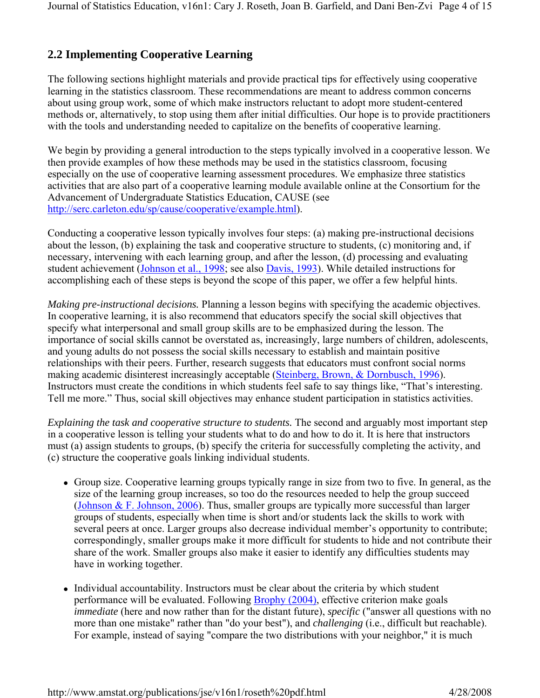### **2.2 Implementing Cooperative Learning**

The following sections highlight materials and provide practical tips for effectively using cooperative learning in the statistics classroom. These recommendations are meant to address common concerns about using group work, some of which make instructors reluctant to adopt more student-centered methods or, alternatively, to stop using them after initial difficulties. Our hope is to provide practitioners with the tools and understanding needed to capitalize on the benefits of cooperative learning.

We begin by providing a general introduction to the steps typically involved in a cooperative lesson. We then provide examples of how these methods may be used in the statistics classroom, focusing especially on the use of cooperative learning assessment procedures. We emphasize three statistics activities that are also part of a cooperative learning module available online at the Consortium for the Advancement of Undergraduate Statistics Education, CAUSE (see http://serc.carleton.edu/sp/cause/cooperative/example.html).

Conducting a cooperative lesson typically involves four steps: (a) making pre-instructional decisions about the lesson, (b) explaining the task and cooperative structure to students, (c) monitoring and, if necessary, intervening with each learning group, and after the lesson, (d) processing and evaluating student achievement (Johnson et al., 1998; see also Davis, 1993). While detailed instructions for accomplishing each of these steps is beyond the scope of this paper, we offer a few helpful hints.

*Making pre-instructional decisions.* Planning a lesson begins with specifying the academic objectives. In cooperative learning, it is also recommend that educators specify the social skill objectives that specify what interpersonal and small group skills are to be emphasized during the lesson. The importance of social skills cannot be overstated as, increasingly, large numbers of children, adolescents, and young adults do not possess the social skills necessary to establish and maintain positive relationships with their peers. Further, research suggests that educators must confront social norms making academic disinterest increasingly acceptable (Steinberg, Brown, & Dornbusch, 1996). Instructors must create the conditions in which students feel safe to say things like, "That's interesting. Tell me more." Thus, social skill objectives may enhance student participation in statistics activities.

*Explaining the task and cooperative structure to students.* The second and arguably most important step in a cooperative lesson is telling your students what to do and how to do it. It is here that instructors must (a) assign students to groups, (b) specify the criteria for successfully completing the activity, and (c) structure the cooperative goals linking individual students.

- Group size. Cooperative learning groups typically range in size from two to five. In general, as the size of the learning group increases, so too do the resources needed to help the group succeed (Johnson & F. Johnson, 2006). Thus, smaller groups are typically more successful than larger groups of students, especially when time is short and/or students lack the skills to work with several peers at once. Larger groups also decrease individual member's opportunity to contribute; correspondingly, smaller groups make it more difficult for students to hide and not contribute their share of the work. Smaller groups also make it easier to identify any difficulties students may have in working together.
- Individual accountability. Instructors must be clear about the criteria by which student performance will be evaluated. Following Brophy (2004), effective criterion make goals *immediate* (here and now rather than for the distant future), *specific* ("answer all questions with no more than one mistake" rather than "do your best"), and *challenging* (i.e., difficult but reachable). For example, instead of saying "compare the two distributions with your neighbor," it is much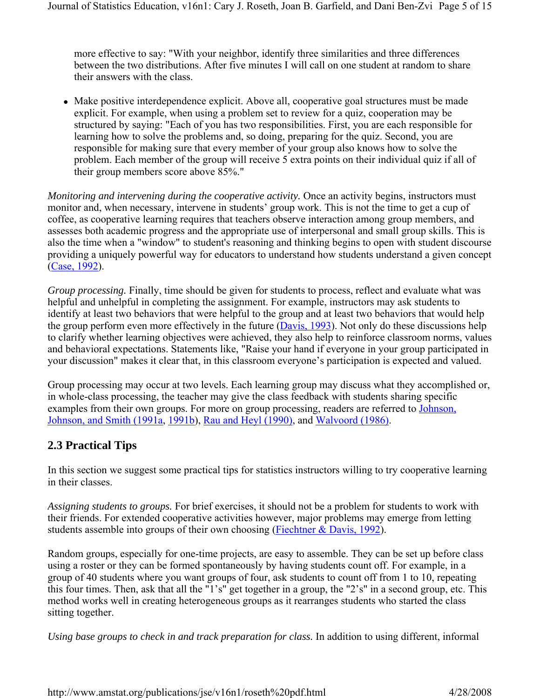more effective to say: "With your neighbor, identify three similarities and three differences between the two distributions. After five minutes I will call on one student at random to share their answers with the class.

• Make positive interdependence explicit. Above all, cooperative goal structures must be made explicit. For example, when using a problem set to review for a quiz, cooperation may be structured by saying: "Each of you has two responsibilities. First, you are each responsible for learning how to solve the problems and, so doing, preparing for the quiz. Second, you are responsible for making sure that every member of your group also knows how to solve the problem. Each member of the group will receive 5 extra points on their individual quiz if all of their group members score above 85%."

*Monitoring and intervening during the cooperative activity.* Once an activity begins, instructors must monitor and, when necessary, intervene in students' group work. This is not the time to get a cup of coffee, as cooperative learning requires that teachers observe interaction among group members, and assesses both academic progress and the appropriate use of interpersonal and small group skills. This is also the time when a "window" to student's reasoning and thinking begins to open with student discourse providing a uniquely powerful way for educators to understand how students understand a given concept (Case, 1992).

*Group processing.* Finally, time should be given for students to process, reflect and evaluate what was helpful and unhelpful in completing the assignment. For example, instructors may ask students to identify at least two behaviors that were helpful to the group and at least two behaviors that would help the group perform even more effectively in the future (Davis, 1993). Not only do these discussions help to clarify whether learning objectives were achieved, they also help to reinforce classroom norms, values and behavioral expectations. Statements like, "Raise your hand if everyone in your group participated in your discussion" makes it clear that, in this classroom everyone's participation is expected and valued.

Group processing may occur at two levels. Each learning group may discuss what they accomplished or, in whole-class processing, the teacher may give the class feedback with students sharing specific examples from their own groups. For more on group processing, readers are referred to Johnson, Johnson, and Smith (1991a, 1991b), Rau and Heyl (1990), and Walvoord (1986).

#### **2.3 Practical Tips**

In this section we suggest some practical tips for statistics instructors willing to try cooperative learning in their classes.

*Assigning students to groups.* For brief exercises, it should not be a problem for students to work with their friends. For extended cooperative activities however, major problems may emerge from letting students assemble into groups of their own choosing (Fiechtner & Davis, 1992).

Random groups, especially for one-time projects, are easy to assemble. They can be set up before class using a roster or they can be formed spontaneously by having students count off. For example, in a group of 40 students where you want groups of four, ask students to count off from 1 to 10, repeating this four times. Then, ask that all the "1's" get together in a group, the "2's" in a second group, etc. This method works well in creating heterogeneous groups as it rearranges students who started the class sitting together.

*Using base groups to check in and track preparation for class.* In addition to using different, informal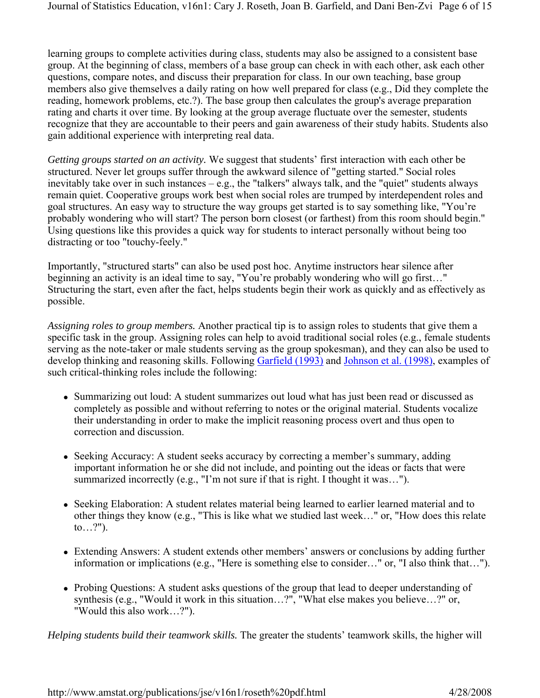learning groups to complete activities during class, students may also be assigned to a consistent base group. At the beginning of class, members of a base group can check in with each other, ask each other questions, compare notes, and discuss their preparation for class. In our own teaching, base group members also give themselves a daily rating on how well prepared for class (e.g., Did they complete the reading, homework problems, etc.?). The base group then calculates the group's average preparation rating and charts it over time. By looking at the group average fluctuate over the semester, students recognize that they are accountable to their peers and gain awareness of their study habits. Students also gain additional experience with interpreting real data.

*Getting groups started on an activity.* We suggest that students' first interaction with each other be structured. Never let groups suffer through the awkward silence of "getting started." Social roles inevitably take over in such instances  $-e.g.,$  the "talkers" always talk, and the "quiet" students always remain quiet. Cooperative groups work best when social roles are trumped by interdependent roles and goal structures. An easy way to structure the way groups get started is to say something like, "You're probably wondering who will start? The person born closest (or farthest) from this room should begin." Using questions like this provides a quick way for students to interact personally without being too distracting or too "touchy-feely."

Importantly, "structured starts" can also be used post hoc. Anytime instructors hear silence after beginning an activity is an ideal time to say, "You're probably wondering who will go first…" Structuring the start, even after the fact, helps students begin their work as quickly and as effectively as possible.

*Assigning roles to group members.* Another practical tip is to assign roles to students that give them a specific task in the group. Assigning roles can help to avoid traditional social roles (e.g., female students serving as the note-taker or male students serving as the group spokesman), and they can also be used to develop thinking and reasoning skills. Following Garfield (1993) and Johnson et al. (1998), examples of such critical-thinking roles include the following:

- Summarizing out loud: A student summarizes out loud what has just been read or discussed as completely as possible and without referring to notes or the original material. Students vocalize their understanding in order to make the implicit reasoning process overt and thus open to correction and discussion.
- Seeking Accuracy: A student seeks accuracy by correcting a member's summary, adding important information he or she did not include, and pointing out the ideas or facts that were summarized incorrectly (e.g., "I'm not sure if that is right. I thought it was…").
- Seeking Elaboration: A student relates material being learned to earlier learned material and to other things they know (e.g., "This is like what we studied last week…" or, "How does this relate to…?").
- Extending Answers: A student extends other members' answers or conclusions by adding further information or implications (e.g., "Here is something else to consider…" or, "I also think that…").
- Probing Questions: A student asks questions of the group that lead to deeper understanding of synthesis (e.g., "Would it work in this situation…?", "What else makes you believe…?" or, "Would this also work…?").

*Helping students build their teamwork skills.* The greater the students' teamwork skills, the higher will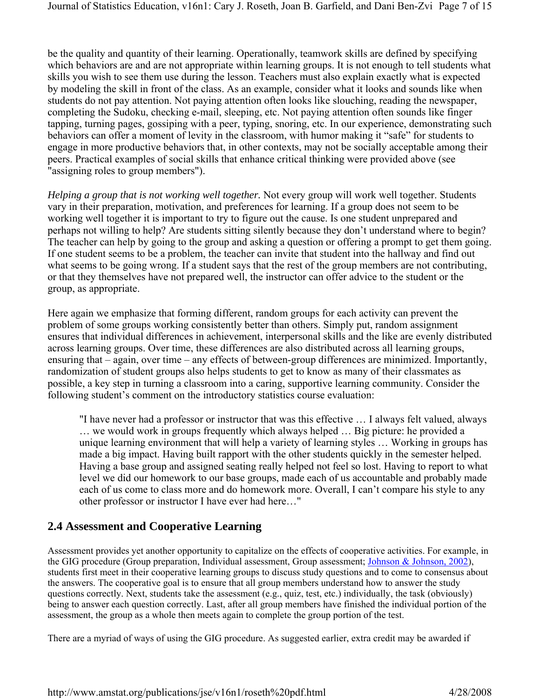be the quality and quantity of their learning. Operationally, teamwork skills are defined by specifying which behaviors are and are not appropriate within learning groups. It is not enough to tell students what skills you wish to see them use during the lesson. Teachers must also explain exactly what is expected by modeling the skill in front of the class. As an example, consider what it looks and sounds like when students do not pay attention. Not paying attention often looks like slouching, reading the newspaper, completing the Sudoku, checking e-mail, sleeping, etc. Not paying attention often sounds like finger tapping, turning pages, gossiping with a peer, typing, snoring, etc. In our experience, demonstrating such behaviors can offer a moment of levity in the classroom, with humor making it "safe" for students to engage in more productive behaviors that, in other contexts, may not be socially acceptable among their peers. Practical examples of social skills that enhance critical thinking were provided above (see "assigning roles to group members").

*Helping a group that is not working well together.* Not every group will work well together. Students vary in their preparation, motivation, and preferences for learning. If a group does not seem to be working well together it is important to try to figure out the cause. Is one student unprepared and perhaps not willing to help? Are students sitting silently because they don't understand where to begin? The teacher can help by going to the group and asking a question or offering a prompt to get them going. If one student seems to be a problem, the teacher can invite that student into the hallway and find out what seems to be going wrong. If a student says that the rest of the group members are not contributing, or that they themselves have not prepared well, the instructor can offer advice to the student or the group, as appropriate.

Here again we emphasize that forming different, random groups for each activity can prevent the problem of some groups working consistently better than others. Simply put, random assignment ensures that individual differences in achievement, interpersonal skills and the like are evenly distributed across learning groups. Over time, these differences are also distributed across all learning groups, ensuring that – again, over time – any effects of between-group differences are minimized. Importantly, randomization of student groups also helps students to get to know as many of their classmates as possible, a key step in turning a classroom into a caring, supportive learning community. Consider the following student's comment on the introductory statistics course evaluation:

"I have never had a professor or instructor that was this effective … I always felt valued, always … we would work in groups frequently which always helped … Big picture: he provided a unique learning environment that will help a variety of learning styles … Working in groups has made a big impact. Having built rapport with the other students quickly in the semester helped. Having a base group and assigned seating really helped not feel so lost. Having to report to what level we did our homework to our base groups, made each of us accountable and probably made each of us come to class more and do homework more. Overall, I can't compare his style to any other professor or instructor I have ever had here…"

#### **2.4 Assessment and Cooperative Learning**

Assessment provides yet another opportunity to capitalize on the effects of cooperative activities. For example, in the GIG procedure (Group preparation, Individual assessment, Group assessment; Johnson & Johnson, 2002), students first meet in their cooperative learning groups to discuss study questions and to come to consensus about the answers. The cooperative goal is to ensure that all group members understand how to answer the study questions correctly. Next, students take the assessment (e.g., quiz, test, etc.) individually, the task (obviously) being to answer each question correctly. Last, after all group members have finished the individual portion of the assessment, the group as a whole then meets again to complete the group portion of the test.

There are a myriad of ways of using the GIG procedure. As suggested earlier, extra credit may be awarded if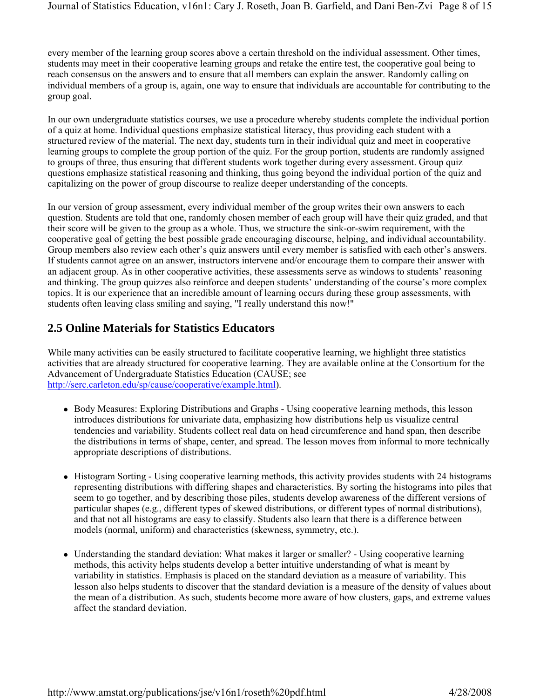every member of the learning group scores above a certain threshold on the individual assessment. Other times, students may meet in their cooperative learning groups and retake the entire test, the cooperative goal being to reach consensus on the answers and to ensure that all members can explain the answer. Randomly calling on individual members of a group is, again, one way to ensure that individuals are accountable for contributing to the group goal.

In our own undergraduate statistics courses, we use a procedure whereby students complete the individual portion of a quiz at home. Individual questions emphasize statistical literacy, thus providing each student with a structured review of the material. The next day, students turn in their individual quiz and meet in cooperative learning groups to complete the group portion of the quiz. For the group portion, students are randomly assigned to groups of three, thus ensuring that different students work together during every assessment. Group quiz questions emphasize statistical reasoning and thinking, thus going beyond the individual portion of the quiz and capitalizing on the power of group discourse to realize deeper understanding of the concepts.

In our version of group assessment, every individual member of the group writes their own answers to each question. Students are told that one, randomly chosen member of each group will have their quiz graded, and that their score will be given to the group as a whole. Thus, we structure the sink-or-swim requirement, with the cooperative goal of getting the best possible grade encouraging discourse, helping, and individual accountability. Group members also review each other's quiz answers until every member is satisfied with each other's answers. If students cannot agree on an answer, instructors intervene and/or encourage them to compare their answer with an adjacent group. As in other cooperative activities, these assessments serve as windows to students' reasoning and thinking. The group quizzes also reinforce and deepen students' understanding of the course's more complex topics. It is our experience that an incredible amount of learning occurs during these group assessments, with students often leaving class smiling and saying, "I really understand this now!"

#### **2.5 Online Materials for Statistics Educators**

While many activities can be easily structured to facilitate cooperative learning, we highlight three statistics activities that are already structured for cooperative learning. They are available online at the Consortium for the Advancement of Undergraduate Statistics Education (CAUSE; see http://serc.carleton.edu/sp/cause/cooperative/example.html).

- Body Measures: Exploring Distributions and Graphs Using cooperative learning methods, this lesson introduces distributions for univariate data, emphasizing how distributions help us visualize central tendencies and variability. Students collect real data on head circumference and hand span, then describe the distributions in terms of shape, center, and spread. The lesson moves from informal to more technically appropriate descriptions of distributions.
- Histogram Sorting Using cooperative learning methods, this activity provides students with 24 histograms representing distributions with differing shapes and characteristics. By sorting the histograms into piles that seem to go together, and by describing those piles, students develop awareness of the different versions of particular shapes (e.g., different types of skewed distributions, or different types of normal distributions), and that not all histograms are easy to classify. Students also learn that there is a difference between models (normal, uniform) and characteristics (skewness, symmetry, etc.).
- Understanding the standard deviation: What makes it larger or smaller? Using cooperative learning methods, this activity helps students develop a better intuitive understanding of what is meant by variability in statistics. Emphasis is placed on the standard deviation as a measure of variability. This lesson also helps students to discover that the standard deviation is a measure of the density of values about the mean of a distribution. As such, students become more aware of how clusters, gaps, and extreme values affect the standard deviation.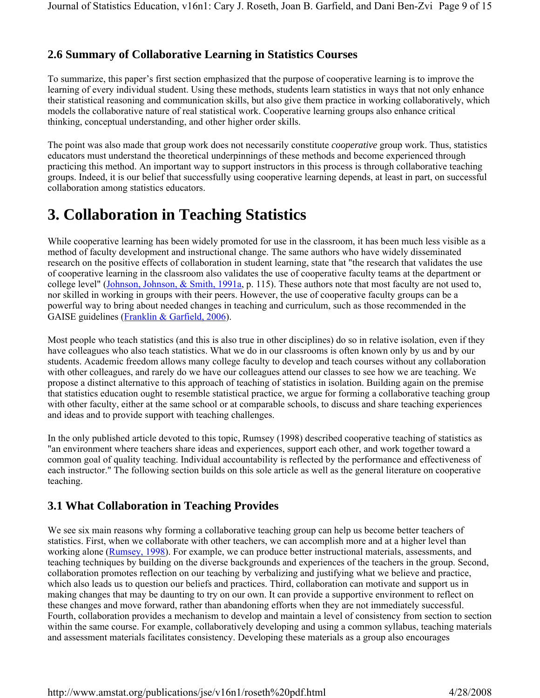### **2.6 Summary of Collaborative Learning in Statistics Courses**

To summarize, this paper's first section emphasized that the purpose of cooperative learning is to improve the learning of every individual student. Using these methods, students learn statistics in ways that not only enhance their statistical reasoning and communication skills, but also give them practice in working collaboratively, which models the collaborative nature of real statistical work. Cooperative learning groups also enhance critical thinking, conceptual understanding, and other higher order skills.

The point was also made that group work does not necessarily constitute *cooperative* group work. Thus, statistics educators must understand the theoretical underpinnings of these methods and become experienced through practicing this method. An important way to support instructors in this process is through collaborative teaching groups. Indeed, it is our belief that successfully using cooperative learning depends, at least in part, on successful collaboration among statistics educators.

# **3. Collaboration in Teaching Statistics**

While cooperative learning has been widely promoted for use in the classroom, it has been much less visible as a method of faculty development and instructional change. The same authors who have widely disseminated research on the positive effects of collaboration in student learning, state that "the research that validates the use of cooperative learning in the classroom also validates the use of cooperative faculty teams at the department or college level" (Johnson, Johnson, & Smith, 1991a, p. 115). These authors note that most faculty are not used to, nor skilled in working in groups with their peers. However, the use of cooperative faculty groups can be a powerful way to bring about needed changes in teaching and curriculum, such as those recommended in the GAISE guidelines (Franklin & Garfield, 2006).

Most people who teach statistics (and this is also true in other disciplines) do so in relative isolation, even if they have colleagues who also teach statistics. What we do in our classrooms is often known only by us and by our students. Academic freedom allows many college faculty to develop and teach courses without any collaboration with other colleagues, and rarely do we have our colleagues attend our classes to see how we are teaching. We propose a distinct alternative to this approach of teaching of statistics in isolation. Building again on the premise that statistics education ought to resemble statistical practice, we argue for forming a collaborative teaching group with other faculty, either at the same school or at comparable schools, to discuss and share teaching experiences and ideas and to provide support with teaching challenges.

In the only published article devoted to this topic, Rumsey (1998) described cooperative teaching of statistics as "an environment where teachers share ideas and experiences, support each other, and work together toward a common goal of quality teaching. Individual accountability is reflected by the performance and effectiveness of each instructor." The following section builds on this sole article as well as the general literature on cooperative teaching.

### **3.1 What Collaboration in Teaching Provides**

We see six main reasons why forming a collaborative teaching group can help us become better teachers of statistics. First, when we collaborate with other teachers, we can accomplish more and at a higher level than working alone (Rumsey, 1998). For example, we can produce better instructional materials, assessments, and teaching techniques by building on the diverse backgrounds and experiences of the teachers in the group. Second, collaboration promotes reflection on our teaching by verbalizing and justifying what we believe and practice, which also leads us to question our beliefs and practices. Third, collaboration can motivate and support us in making changes that may be daunting to try on our own. It can provide a supportive environment to reflect on these changes and move forward, rather than abandoning efforts when they are not immediately successful. Fourth, collaboration provides a mechanism to develop and maintain a level of consistency from section to section within the same course. For example, collaboratively developing and using a common syllabus, teaching materials and assessment materials facilitates consistency. Developing these materials as a group also encourages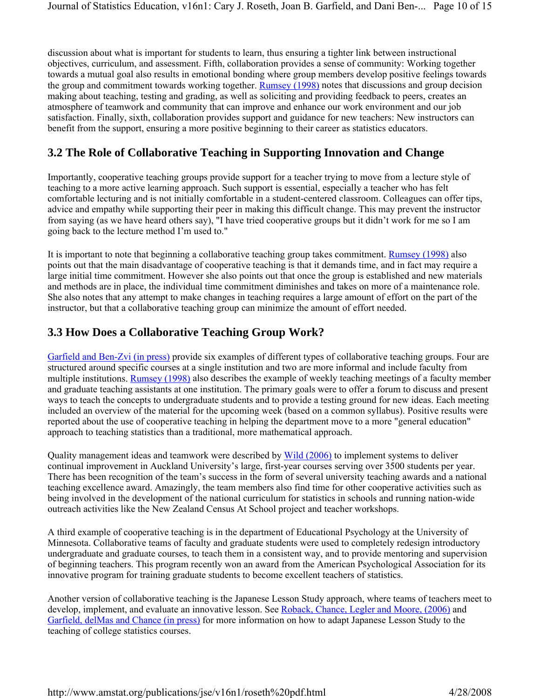discussion about what is important for students to learn, thus ensuring a tighter link between instructional objectives, curriculum, and assessment. Fifth, collaboration provides a sense of community: Working together towards a mutual goal also results in emotional bonding where group members develop positive feelings towards the group and commitment towards working together. Rumsey (1998) notes that discussions and group decision making about teaching, testing and grading, as well as soliciting and providing feedback to peers, creates an atmosphere of teamwork and community that can improve and enhance our work environment and our job satisfaction. Finally, sixth, collaboration provides support and guidance for new teachers: New instructors can benefit from the support, ensuring a more positive beginning to their career as statistics educators.

#### **3.2 The Role of Collaborative Teaching in Supporting Innovation and Change**

Importantly, cooperative teaching groups provide support for a teacher trying to move from a lecture style of teaching to a more active learning approach. Such support is essential, especially a teacher who has felt comfortable lecturing and is not initially comfortable in a student-centered classroom. Colleagues can offer tips, advice and empathy while supporting their peer in making this difficult change. This may prevent the instructor from saying (as we have heard others say), "I have tried cooperative groups but it didn't work for me so I am going back to the lecture method I'm used to."

It is important to note that beginning a collaborative teaching group takes commitment. Rumsey (1998) also points out that the main disadvantage of cooperative teaching is that it demands time, and in fact may require a large initial time commitment. However she also points out that once the group is established and new materials and methods are in place, the individual time commitment diminishes and takes on more of a maintenance role. She also notes that any attempt to make changes in teaching requires a large amount of effort on the part of the instructor, but that a collaborative teaching group can minimize the amount of effort needed.

#### **3.3 How Does a Collaborative Teaching Group Work?**

Garfield and Ben-Zvi (in press) provide six examples of different types of collaborative teaching groups. Four are structured around specific courses at a single institution and two are more informal and include faculty from multiple institutions. Rumsey (1998) also describes the example of weekly teaching meetings of a faculty member and graduate teaching assistants at one institution. The primary goals were to offer a forum to discuss and present ways to teach the concepts to undergraduate students and to provide a testing ground for new ideas. Each meeting included an overview of the material for the upcoming week (based on a common syllabus). Positive results were reported about the use of cooperative teaching in helping the department move to a more "general education" approach to teaching statistics than a traditional, more mathematical approach.

Quality management ideas and teamwork were described by Wild (2006) to implement systems to deliver continual improvement in Auckland University's large, first-year courses serving over 3500 students per year. There has been recognition of the team's success in the form of several university teaching awards and a national teaching excellence award. Amazingly, the team members also find time for other cooperative activities such as being involved in the development of the national curriculum for statistics in schools and running nation-wide outreach activities like the New Zealand Census At School project and teacher workshops.

A third example of cooperative teaching is in the department of Educational Psychology at the University of Minnesota. Collaborative teams of faculty and graduate students were used to completely redesign introductory undergraduate and graduate courses, to teach them in a consistent way, and to provide mentoring and supervision of beginning teachers. This program recently won an award from the American Psychological Association for its innovative program for training graduate students to become excellent teachers of statistics.

Another version of collaborative teaching is the Japanese Lesson Study approach, where teams of teachers meet to develop, implement, and evaluate an innovative lesson. See Roback, Chance, Legler and Moore, (2006) and Garfield, delMas and Chance (in press) for more information on how to adapt Japanese Lesson Study to the teaching of college statistics courses.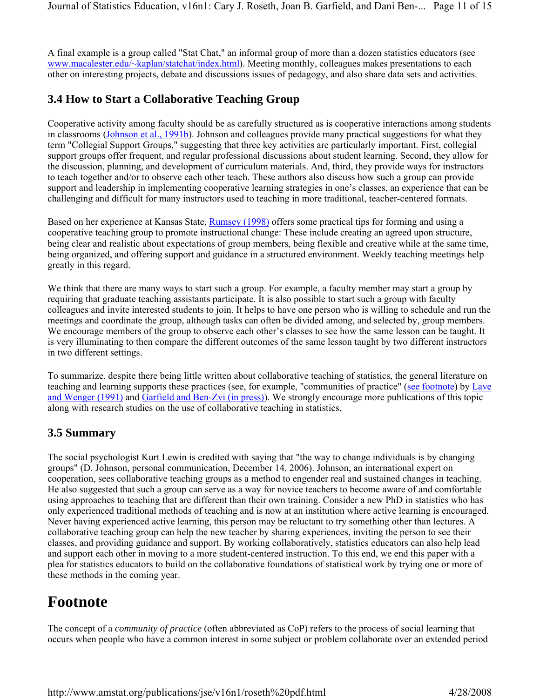A final example is a group called "Stat Chat," an informal group of more than a dozen statistics educators (see www.macalester.edu/~kaplan/statchat/index.html). Meeting monthly, colleagues makes presentations to each other on interesting projects, debate and discussions issues of pedagogy, and also share data sets and activities.

### **3.4 How to Start a Collaborative Teaching Group**

Cooperative activity among faculty should be as carefully structured as is cooperative interactions among students in classrooms (Johnson et al., 1991b). Johnson and colleagues provide many practical suggestions for what they term "Collegial Support Groups," suggesting that three key activities are particularly important. First, collegial support groups offer frequent, and regular professional discussions about student learning. Second, they allow for the discussion, planning, and development of curriculum materials. And, third, they provide ways for instructors to teach together and/or to observe each other teach. These authors also discuss how such a group can provide support and leadership in implementing cooperative learning strategies in one's classes, an experience that can be challenging and difficult for many instructors used to teaching in more traditional, teacher-centered formats.

Based on her experience at Kansas State, Rumsey (1998) offers some practical tips for forming and using a cooperative teaching group to promote instructional change: These include creating an agreed upon structure, being clear and realistic about expectations of group members, being flexible and creative while at the same time, being organized, and offering support and guidance in a structured environment. Weekly teaching meetings help greatly in this regard.

We think that there are many ways to start such a group. For example, a faculty member may start a group by requiring that graduate teaching assistants participate. It is also possible to start such a group with faculty colleagues and invite interested students to join. It helps to have one person who is willing to schedule and run the meetings and coordinate the group, although tasks can often be divided among, and selected by, group members. We encourage members of the group to observe each other's classes to see how the same lesson can be taught. It is very illuminating to then compare the different outcomes of the same lesson taught by two different instructors in two different settings.

To summarize, despite there being little written about collaborative teaching of statistics, the general literature on teaching and learning supports these practices (see, for example, "communities of practice" (see footnote) by Lave and Wenger (1991) and Garfield and Ben-Zvi (in press)). We strongly encourage more publications of this topic along with research studies on the use of collaborative teaching in statistics.

#### **3.5 Summary**

The social psychologist Kurt Lewin is credited with saying that "the way to change individuals is by changing groups" (D. Johnson, personal communication, December 14, 2006). Johnson, an international expert on cooperation, sees collaborative teaching groups as a method to engender real and sustained changes in teaching. He also suggested that such a group can serve as a way for novice teachers to become aware of and comfortable using approaches to teaching that are different than their own training. Consider a new PhD in statistics who has only experienced traditional methods of teaching and is now at an institution where active learning is encouraged. Never having experienced active learning, this person may be reluctant to try something other than lectures. A collaborative teaching group can help the new teacher by sharing experiences, inviting the person to see their classes, and providing guidance and support. By working collaboratively, statistics educators can also help lead and support each other in moving to a more student-centered instruction. To this end, we end this paper with a plea for statistics educators to build on the collaborative foundations of statistical work by trying one or more of these methods in the coming year.

# **Footnote**

The concept of a *community of practice* (often abbreviated as CoP) refers to the process of social learning that occurs when people who have a common interest in some subject or problem collaborate over an extended period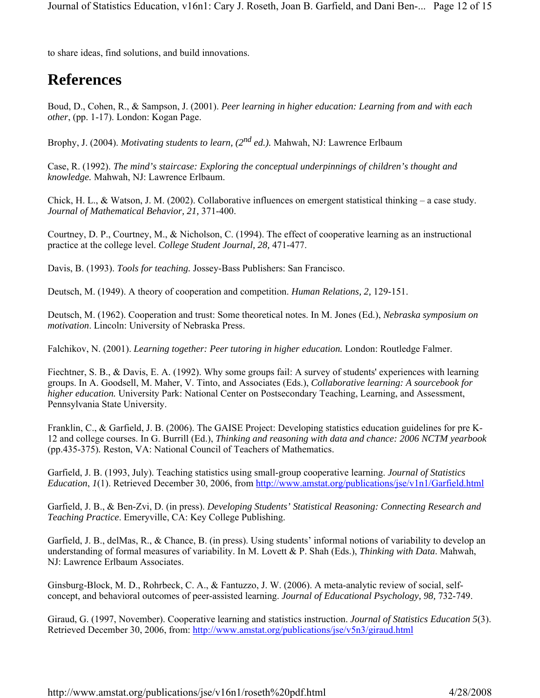to share ideas, find solutions, and build innovations.

# **References**

Boud, D., Cohen, R., & Sampson, J. (2001). *Peer learning in higher education: Learning from and with each other*, (pp. 1-17). London: Kogan Page.

Brophy, J. (2004). *Motivating students to learn, (2nd ed.).* Mahwah, NJ: Lawrence Erlbaum

Case, R. (1992). *The mind's staircase: Exploring the conceptual underpinnings of children's thought and knowledge.* Mahwah, NJ: Lawrence Erlbaum.

Chick, H. L., & Watson, J. M. (2002). Collaborative influences on emergent statistical thinking – a case study. *Journal of Mathematical Behavior, 21,* 371-400.

Courtney, D. P., Courtney, M., & Nicholson, C. (1994). The effect of cooperative learning as an instructional practice at the college level. *College Student Journal, 28,* 471-477.

Davis, B. (1993). *Tools for teaching.* Jossey-Bass Publishers: San Francisco.

Deutsch, M. (1949). A theory of cooperation and competition. *Human Relations, 2,* 129-151.

Deutsch, M. (1962). Cooperation and trust: Some theoretical notes. In M. Jones (Ed.), *Nebraska symposium on motivation*. Lincoln: University of Nebraska Press.

Falchikov, N. (2001). *Learning together: Peer tutoring in higher education.* London: Routledge Falmer.

Fiechtner, S. B., & Davis, E. A. (1992). Why some groups fail: A survey of students' experiences with learning groups. In A. Goodsell, M. Maher, V. Tinto, and Associates (Eds.), *Collaborative learning: A sourcebook for higher education.* University Park: National Center on Postsecondary Teaching, Learning, and Assessment, Pennsylvania State University.

Franklin, C., & Garfield, J. B. (2006). The GAISE Project: Developing statistics education guidelines for pre K-12 and college courses. In G. Burrill (Ed.), *Thinking and reasoning with data and chance: 2006 NCTM yearbook* (pp.435-375)*.* Reston, VA: National Council of Teachers of Mathematics.

Garfield, J. B. (1993, July). Teaching statistics using small-group cooperative learning. *Journal of Statistics Education*, *1*(1). Retrieved December 30, 2006, from http://www.amstat.org/publications/jse/v1n1/Garfield.html

Garfield, J. B., & Ben-Zvi, D. (in press). *Developing Students' Statistical Reasoning: Connecting Research and Teaching Practice*. Emeryville, CA: Key College Publishing.

Garfield, J. B., delMas, R., & Chance, B. (in press). Using students' informal notions of variability to develop an understanding of formal measures of variability. In M. Lovett & P. Shah (Eds.), *Thinking with Data*. Mahwah, NJ: Lawrence Erlbaum Associates.

Ginsburg-Block, M. D., Rohrbeck, C. A., & Fantuzzo, J. W. (2006). A meta-analytic review of social, selfconcept, and behavioral outcomes of peer-assisted learning. *Journal of Educational Psychology, 98,* 732-749.

Giraud, G. (1997, November). Cooperative learning and statistics instruction. *Journal of Statistics Education 5*(3). Retrieved December 30, 2006, from: http://www.amstat.org/publications/jse/v5n3/giraud.html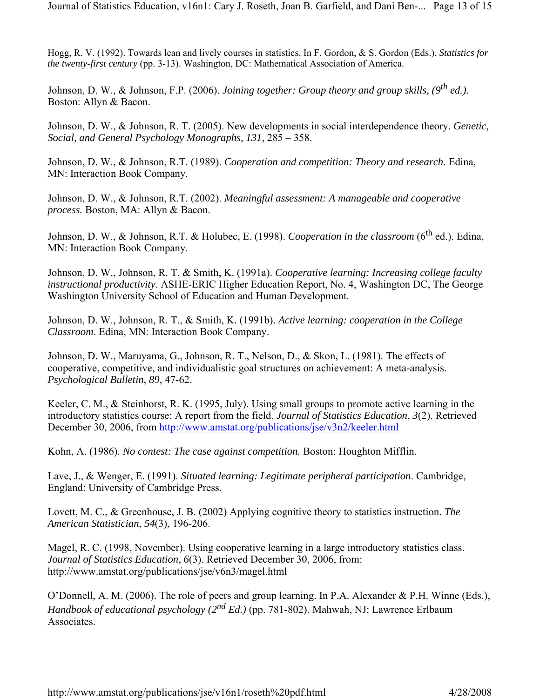Hogg, R. V. (1992). Towards lean and lively courses in statistics. In F. Gordon, & S. Gordon (Eds.), *Statistics for the twenty-first century* (pp. 3-13). Washington, DC: Mathematical Association of America.

Johnson, D. W., & Johnson, F.P. (2006). *Joining together: Group theory and group skills, (9th ed.).* Boston: Allyn & Bacon.

Johnson, D. W., & Johnson, R. T. (2005). New developments in social interdependence theory. *Genetic, Social, and General Psychology Monographs, 131,* 285 – 358.

Johnson, D. W., & Johnson, R.T. (1989). *Cooperation and competition: Theory and research.* Edina, MN: Interaction Book Company.

Johnson, D. W., & Johnson, R.T. (2002). *Meaningful assessment: A manageable and cooperative process.* Boston, MA: Allyn & Bacon.

Johnson, D. W., & Johnson, R.T. & Holubec, E. (1998). *Cooperation in the classroom* (6<sup>th</sup> ed.). Edina, MN: Interaction Book Company.

Johnson, D. W., Johnson, R. T. & Smith, K. (1991a). *Cooperative learning: Increasing college faculty instructional productivity*. ASHE-ERIC Higher Education Report, No. 4, Washington DC, The George Washington University School of Education and Human Development.

Johnson, D. W., Johnson, R. T., & Smith, K. (1991b). *Active learning: cooperation in the College Classroom*. Edina, MN: Interaction Book Company.

Johnson, D. W., Maruyama, G., Johnson, R. T., Nelson, D., & Skon, L. (1981). The effects of cooperative, competitive, and individualistic goal structures on achievement: A meta-analysis. *Psychological Bulletin, 89,* 47-62.

Keeler, C. M., & Steinhorst, R. K. (1995, July). Using small groups to promote active learning in the introductory statistics course: A report from the field. *Journal of Statistics Education*, *3*(2). Retrieved December 30, 2006, from http://www.amstat.org/publications/jse/v3n2/keeler.html

Kohn, A. (1986). *No contest: The case against competition.* Boston: Houghton Mifflin.

Lave, J., & Wenger, E. (1991). *Situated learning: Legitimate peripheral participation*. Cambridge, England: University of Cambridge Press.

Lovett, M. C., & Greenhouse, J. B. (2002) Applying cognitive theory to statistics instruction. *The American Statistician*, *54*(3), 196-206.

Magel, R. C. (1998, November). Using cooperative learning in a large introductory statistics class. *Journal of Statistics Education*, *6*(3). Retrieved December 30, 2006, from: http://www.amstat.org/publications/jse/v6n3/magel.html

O'Donnell, A. M. (2006). The role of peers and group learning. In P.A. Alexander & P.H. Winne (Eds.), *Handbook of educational psychology (2nd Ed.)* (pp. 781-802). Mahwah, NJ: Lawrence Erlbaum Associates.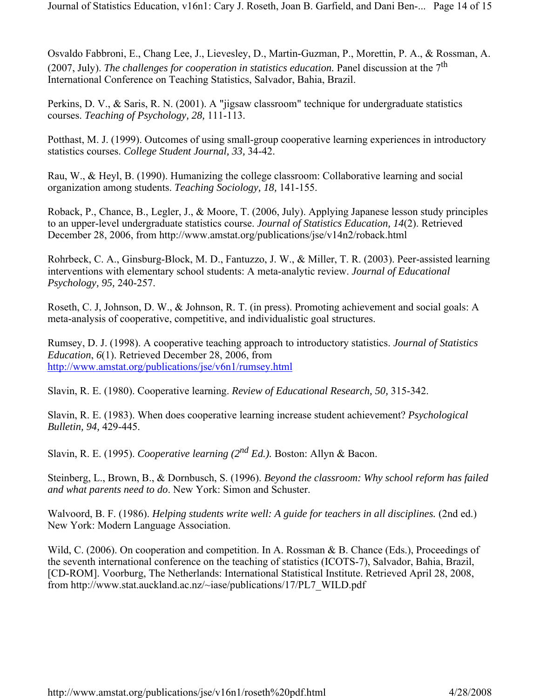Osvaldo Fabbroni, E., Chang Lee, J., Lievesley, D., Martin-Guzman, P., Morettin, P. A., & Rossman, A. (2007, July). *The challenges for cooperation in statistics education*. Panel discussion at the 7<sup>th</sup> International Conference on Teaching Statistics, Salvador, Bahia, Brazil.

Perkins, D. V., & Saris, R. N. (2001). A "jigsaw classroom" technique for undergraduate statistics courses. *Teaching of Psychology, 28,* 111-113.

Potthast, M. J. (1999). Outcomes of using small-group cooperative learning experiences in introductory statistics courses. *College Student Journal, 33,* 34-42.

Rau, W., & Heyl, B. (1990). Humanizing the college classroom: Collaborative learning and social organization among students. *Teaching Sociology, 18,* 141-155.

Roback, P., Chance, B., Legler, J., & Moore, T. (2006, July). Applying Japanese lesson study principles to an upper-level undergraduate statistics course. *Journal of Statistics Education, 14*(2). Retrieved December 28, 2006, from http://www.amstat.org/publications/jse/v14n2/roback.html

Rohrbeck, C. A., Ginsburg-Block, M. D., Fantuzzo, J. W., & Miller, T. R. (2003). Peer-assisted learning interventions with elementary school students: A meta-analytic review. *Journal of Educational Psychology, 95,* 240-257.

Roseth, C. J, Johnson, D. W., & Johnson, R. T. (in press). Promoting achievement and social goals: A meta-analysis of cooperative, competitive, and individualistic goal structures.

Rumsey, D. J. (1998). A cooperative teaching approach to introductory statistics. *Journal of Statistics Education*, *6*(1). Retrieved December 28, 2006, from http://www.amstat.org/publications/jse/v6n1/rumsey.html

Slavin, R. E. (1980). Cooperative learning. *Review of Educational Research, 50,* 315-342.

Slavin, R. E. (1983). When does cooperative learning increase student achievement? *Psychological Bulletin, 94,* 429-445.

Slavin, R. E. (1995). *Cooperative learning (2nd Ed.).* Boston: Allyn & Bacon.

Steinberg, L., Brown, B., & Dornbusch, S. (1996). *Beyond the classroom: Why school reform has failed and what parents need to do*. New York: Simon and Schuster.

Walvoord, B. F. (1986). *Helping students write well: A guide for teachers in all disciplines.* (2nd ed.) New York: Modern Language Association.

Wild, C. (2006). On cooperation and competition. In A. Rossman & B. Chance (Eds.), Proceedings of the seventh international conference on the teaching of statistics (ICOTS-7), Salvador, Bahia, Brazil, [CD-ROM]. Voorburg, The Netherlands: International Statistical Institute. Retrieved April 28, 2008, from http://www.stat.auckland.ac.nz/~iase/publications/17/PL7\_WILD.pdf